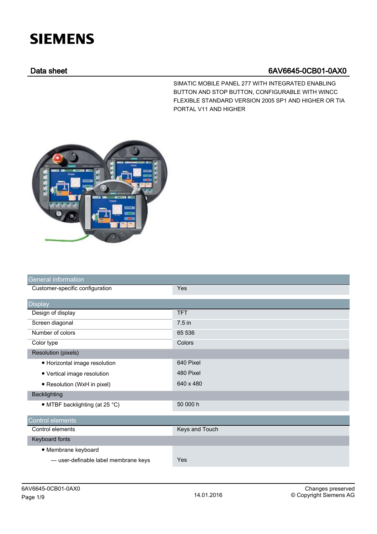## **SIEMENS**

## Data sheet 6AV6645-0CB01-0AX0

SIMATIC MOBILE PANEL 277 WITH INTEGRATED ENABLING BUTTON AND STOP BUTTON, CONFIGURABLE WITH WINCC FLEXIBLE STANDARD VERSION 2005 SP1 AND HIGHER OR TIA PORTAL V11 AND HIGHER



| <b>General information</b>               |                |
|------------------------------------------|----------------|
| Customer-specific configuration          | Yes            |
| <b>Display</b>                           |                |
| Design of display                        | <b>TFT</b>     |
| Screen diagonal                          | $7.5$ in       |
| Number of colors                         | 65 536         |
| Color type                               | Colors         |
| <b>Resolution (pixels)</b>               |                |
| • Horizontal image resolution            | 640 Pixel      |
| • Vertical image resolution              | 480 Pixel      |
| • Resolution (WxH in pixel)              | 640 x 480      |
| <b>Backlighting</b>                      |                |
| • MTBF backlighting (at 25 $^{\circ}$ C) | 50 000 h       |
| Control elements                         |                |
| Control elements                         | Keys and Touch |
| Keyboard fonts                           |                |
| • Membrane keyboard                      |                |
| -user-definable label membrane keys      | Yes            |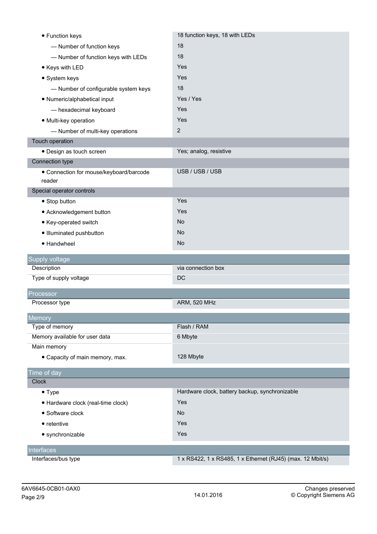| • Function keys                         | 18 function keys, 18 with LEDs                             |
|-----------------------------------------|------------------------------------------------------------|
| - Number of function keys               | 18                                                         |
| - Number of function keys with LEDs     | 18                                                         |
| • Keys with LED                         | Yes                                                        |
| • System keys                           | Yes                                                        |
| - Number of configurable system keys    | 18                                                         |
| • Numeric/alphabetical input            | Yes / Yes                                                  |
| - hexadecimal keyboard                  | Yes                                                        |
| · Multi-key operation                   | Yes                                                        |
| - Number of multi-key operations        | $\mathbf{2}$                                               |
| Touch operation                         |                                                            |
| · Design as touch screen                | Yes; analog, resistive                                     |
| Connection type                         |                                                            |
| • Connection for mouse/keyboard/barcode | USB / USB / USB                                            |
| reader                                  |                                                            |
| Special operator controls               |                                                            |
| • Stop button                           | Yes                                                        |
| • Acknowledgement button                | Yes                                                        |
| • Key-operated switch                   | <b>No</b>                                                  |
| · Illuminated pushbutton                | <b>No</b>                                                  |
| • Handwheel                             | <b>No</b>                                                  |
| Supply voltage                          |                                                            |
| Description                             | via connection box                                         |
| Type of supply voltage                  | DC                                                         |
| Processor                               |                                                            |
| Processor type                          | <b>ARM, 520 MHz</b>                                        |
| Memory                                  |                                                            |
| Type of memory                          | Flash / RAM                                                |
| Memory available for user data          | 6 Mbyte                                                    |
| Main memory                             |                                                            |
| • Capacity of main memory, max.         | 128 Mbyte                                                  |
| Time of day                             |                                                            |
| Clock                                   |                                                            |
| $\bullet$ Type                          | Hardware clock, battery backup, synchronizable             |
| · Hardware clock (real-time clock)      | Yes                                                        |
| • Software clock                        | <b>No</b>                                                  |
| • retentive                             | Yes                                                        |
| • synchronizable                        | Yes                                                        |
| <b>Interfaces</b>                       |                                                            |
| Interfaces/bus type                     | 1 x RS422, 1 x RS485, 1 x Ethernet (RJ45) (max. 12 Mbit/s) |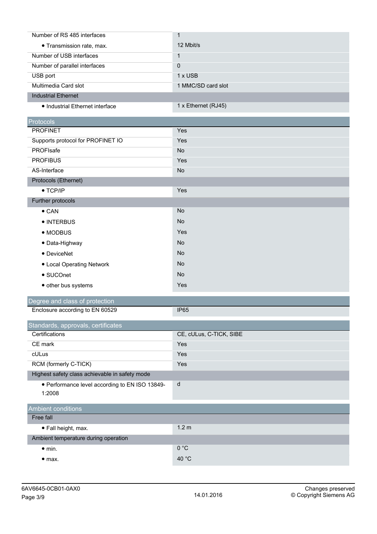| Number of RS 485 interfaces     |                     |
|---------------------------------|---------------------|
| • Transmission rate, max.       | 12 Mbit/s           |
| Number of USB interfaces        |                     |
| Number of parallel interfaces   | $\Omega$            |
| USB port                        | $1 \times$ USB      |
| Multimedia Card slot            | 1 MMC/SD card slot  |
| <b>Industrial Ethernet</b>      |                     |
| • Industrial Ethernet interface | 1 x Ethernet (RJ45) |

| <b>Protocols</b>                  |           |
|-----------------------------------|-----------|
| <b>PROFINET</b>                   | Yes       |
| Supports protocol for PROFINET IO | Yes       |
| PROFIsafe                         | <b>No</b> |
| <b>PROFIBUS</b>                   | Yes       |
| AS-Interface                      | <b>No</b> |
| Protocols (Ethernet)              |           |
| $\bullet$ TCP/IP                  | Yes       |
| Further protocols                 |           |
| $\bullet$ CAN                     | No        |
| • INTERBUS                        | <b>No</b> |
| • MODBUS                          | Yes       |
| • Data-Highway                    | <b>No</b> |
| • DeviceNet                       | <b>No</b> |
| • Local Operating Network         | <b>No</b> |
| • SUCOnet                         | <b>No</b> |
| • other bus systems               | Yes       |
|                                   |           |

## Degree and class of protection Enclosure according to EN 60529 IP65

| Standards, approvals, certificates                       |                         |  |
|----------------------------------------------------------|-------------------------|--|
| Certifications                                           | CE, cULus, C-TICK, SIBE |  |
| CE mark                                                  | Yes                     |  |
| cULus                                                    | Yes                     |  |
| RCM (formerly C-TICK)                                    | Yes                     |  |
| Highest safety class achievable in safety mode           |                         |  |
| • Performance level according to EN ISO 13849-<br>1:2008 | d                       |  |
| <b>Ambient conditions</b>                                |                         |  |
| Free fall                                                |                         |  |
| $\bullet$ Fall height, max.                              | 1.2 <sub>m</sub>        |  |
| Ambient temperature during operation                     |                         |  |
| $\bullet$ min.                                           | 0 °C                    |  |
| $\bullet$ max.                                           | 40 $^{\circ}$ C         |  |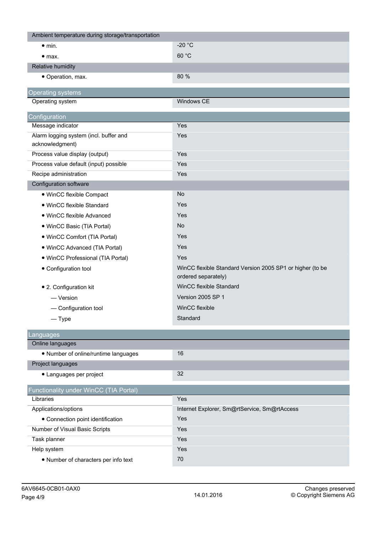| Ambient temperature during storage/transportation         |                                                                                  |
|-----------------------------------------------------------|----------------------------------------------------------------------------------|
| $\bullet$ min.                                            | -20 $^{\circ}$ C                                                                 |
| • <sub>max.</sub>                                         | 60 °C                                                                            |
| Relative humidity                                         |                                                                                  |
| · Operation, max.                                         | 80 %                                                                             |
| Operating systems                                         |                                                                                  |
| Operating system                                          | Windows CE                                                                       |
|                                                           |                                                                                  |
| Configuration                                             |                                                                                  |
| Message indicator                                         | Yes                                                                              |
| Alarm logging system (incl. buffer and<br>acknowledgment) | Yes                                                                              |
| Process value display (output)                            | Yes                                                                              |
| Process value default (input) possible                    | Yes                                                                              |
| Recipe administration                                     | Yes                                                                              |
| Configuration software                                    |                                                                                  |
| · WinCC flexible Compact                                  | <b>No</b>                                                                        |
| • WinCC flexible Standard                                 | Yes                                                                              |
| • WinCC flexible Advanced                                 | Yes                                                                              |
| • WinCC Basic (TIA Portal)                                | <b>No</b>                                                                        |
| • WinCC Comfort (TIA Portal)                              | Yes                                                                              |
| · WinCC Advanced (TIA Portal)                             | Yes                                                                              |
| · WinCC Professional (TIA Portal)                         | Yes                                                                              |
| • Configuration tool                                      | WinCC flexible Standard Version 2005 SP1 or higher (to be<br>ordered separately) |
| • 2. Configuration kit                                    | WinCC flexible Standard                                                          |
| — Version                                                 | Version 2005 SP 1                                                                |
| - Configuration tool                                      | WinCC flexible                                                                   |
| $-\mathrm{Type}$                                          | Standard                                                                         |
|                                                           |                                                                                  |
| .anguages                                                 |                                                                                  |
| Online languages                                          |                                                                                  |
| • Number of online/runtime languages                      | 16                                                                               |
| Project languages                                         |                                                                                  |
| • Languages per project                                   | 32                                                                               |
| Functionality under WinCC (TIA Portal)                    |                                                                                  |
| Libraries                                                 | Yes                                                                              |
| Applications/options                                      | Internet Explorer, Sm@rtService, Sm@rtAccess                                     |
| • Connection point identification                         | Yes                                                                              |
| Number of Visual Basic Scripts                            | Yes                                                                              |
| Task planner                                              | Yes                                                                              |
| Help system                                               | Yes                                                                              |
| • Number of characters per info text                      | 70                                                                               |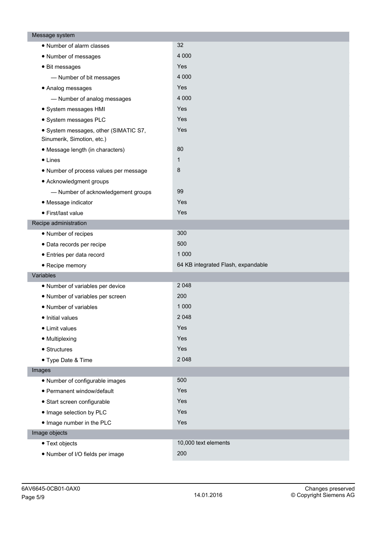| Message system                                                      |                                    |
|---------------------------------------------------------------------|------------------------------------|
| • Number of alarm classes                                           | 32                                 |
| • Number of messages                                                | 4 0 0 0                            |
| • Bit messages                                                      | Yes                                |
| - Number of bit messages                                            | 4 0 0 0                            |
| • Analog messages                                                   | Yes                                |
| - Number of analog messages                                         | 4 0 0 0                            |
| · System messages HMI                                               | Yes                                |
| · System messages PLC                                               | Yes                                |
| • System messages, other (SIMATIC S7,<br>Sinumerik, Simotion, etc.) | Yes                                |
| • Message length (in characters)                                    | 80                                 |
| $\bullet$ Lines                                                     | $\mathbf{1}$                       |
| . Number of process values per message                              | 8                                  |
| • Acknowledgment groups                                             |                                    |
| - Number of acknowledgement groups                                  | 99                                 |
| · Message indicator                                                 | Yes                                |
| • First/last value                                                  | Yes                                |
| Recipe administration                                               |                                    |
| • Number of recipes                                                 | 300                                |
| · Data records per recipe                                           | 500                                |
| • Entries per data record                                           | 1 0 0 0                            |
| • Recipe memory                                                     | 64 KB integrated Flash, expandable |
| Variables                                                           |                                    |
| • Number of variables per device                                    | 2 0 4 8                            |
| • Number of variables per screen                                    | 200                                |
| • Number of variables                                               | 1 0 0 0                            |
| · Initial values                                                    | 2 0 4 8                            |
| • Limit values                                                      | Yes                                |
| • Multiplexing                                                      | Yes                                |
| • Structures                                                        | Yes                                |
| • Type Date & Time                                                  | 2 0 4 8                            |
| Images                                                              |                                    |
| • Number of configurable images                                     | 500                                |
| · Permanent window/default                                          | Yes                                |
| · Start screen configurable                                         | Yes                                |
| · Image selection by PLC                                            | Yes                                |
| . Image number in the PLC                                           | Yes                                |
| Image objects                                                       |                                    |
| • Text objects                                                      | 10,000 text elements               |
| . Number of I/O fields per image                                    | 200                                |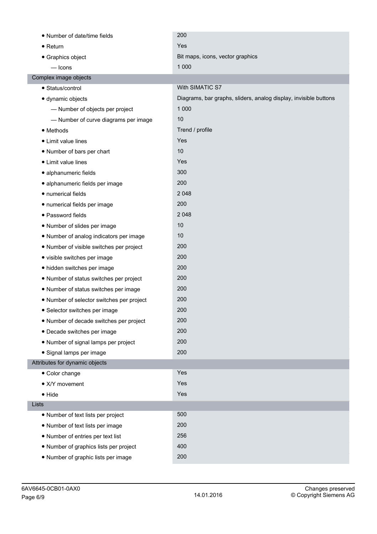| • Number of date/time fields              | 200                                                              |
|-------------------------------------------|------------------------------------------------------------------|
| $\bullet$ Return                          | Yes                                                              |
| • Graphics object                         | Bit maps, icons, vector graphics                                 |
| $-\frac{1}{2}$                            | 1 0 0 0                                                          |
| Complex image objects                     |                                                                  |
| • Status/control                          | With SIMATIC S7                                                  |
| · dynamic objects                         | Diagrams, bar graphs, sliders, analog display, invisible buttons |
| - Number of objects per project           | 1 0 0 0                                                          |
| - Number of curve diagrams per image      | 10                                                               |
| • Methods                                 | Trend / profile                                                  |
| • Limit value lines                       | Yes                                                              |
| • Number of bars per chart                | 10                                                               |
| • Limit value lines                       | Yes                                                              |
| · alphanumeric fields                     | 300                                                              |
| · alphanumeric fields per image           | 200                                                              |
| · numerical fields                        | 2 0 4 8                                                          |
| · numerical fields per image              | 200                                                              |
| · Password fields                         | 2 0 4 8                                                          |
| • Number of slides per image              | 10                                                               |
| • Number of analog indicators per image   | 10                                                               |
| • Number of visible switches per project  | 200                                                              |
| • visible switches per image              | 200                                                              |
| • hidden switches per image               | 200                                                              |
| • Number of status switches per project   | 200                                                              |
| . Number of status switches per image     | 200                                                              |
| • Number of selector switches per project | 200                                                              |
| • Selector switches per image             | 200                                                              |
| • Number of decade switches per project   | 200                                                              |
| • Decade switches per image               | 200                                                              |
| • Number of signal lamps per project      | 200                                                              |
| · Signal lamps per image                  | 200                                                              |
| Attributes for dynamic objects            |                                                                  |
| • Color change                            | Yes                                                              |
| • X/Y movement                            | Yes                                                              |
| $\bullet$ Hide                            | Yes                                                              |
| Lists                                     |                                                                  |
| • Number of text lists per project        | 500                                                              |
| • Number of text lists per image          | 200                                                              |
| • Number of entries per text list         | 256                                                              |
| • Number of graphics lists per project    | 400                                                              |
| • Number of graphic lists per image       | 200                                                              |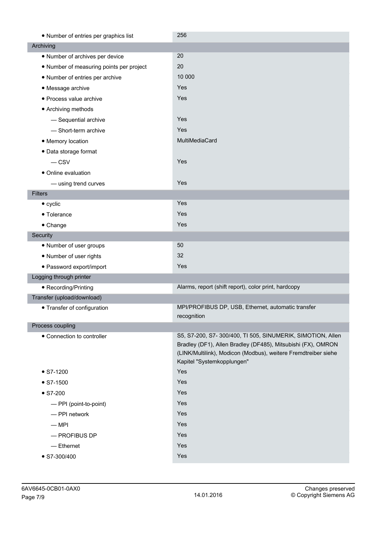| • Number of entries per graphics list    | 256                                                                                                                                                                                                                        |
|------------------------------------------|----------------------------------------------------------------------------------------------------------------------------------------------------------------------------------------------------------------------------|
| Archiving                                |                                                                                                                                                                                                                            |
| • Number of archives per device          | 20                                                                                                                                                                                                                         |
| • Number of measuring points per project | 20                                                                                                                                                                                                                         |
| • Number of entries per archive          | 10 000                                                                                                                                                                                                                     |
| • Message archive                        | Yes                                                                                                                                                                                                                        |
| • Process value archive                  | Yes                                                                                                                                                                                                                        |
| • Archiving methods                      |                                                                                                                                                                                                                            |
| - Sequential archive                     | Yes                                                                                                                                                                                                                        |
| - Short-term archive                     | Yes                                                                                                                                                                                                                        |
| • Memory location                        | MultiMediaCard                                                                                                                                                                                                             |
| • Data storage format                    |                                                                                                                                                                                                                            |
| $-$ CSV                                  | Yes                                                                                                                                                                                                                        |
| • Online evaluation                      |                                                                                                                                                                                                                            |
| - using trend curves                     | Yes                                                                                                                                                                                                                        |
| <b>Filters</b>                           |                                                                                                                                                                                                                            |
| $\bullet$ cyclic                         | Yes                                                                                                                                                                                                                        |
| • Tolerance                              | Yes                                                                                                                                                                                                                        |
| • Change                                 | Yes                                                                                                                                                                                                                        |
| Security                                 |                                                                                                                                                                                                                            |
| • Number of user groups                  | 50                                                                                                                                                                                                                         |
| • Number of user rights                  | 32                                                                                                                                                                                                                         |
| • Password export/import                 | Yes                                                                                                                                                                                                                        |
| Logging through printer                  |                                                                                                                                                                                                                            |
| • Recording/Printing                     | Alarms, report (shift report), color print, hardcopy                                                                                                                                                                       |
| Transfer (upload/download)               |                                                                                                                                                                                                                            |
| • Transfer of configuration              | MPI/PROFIBUS DP, USB, Ethernet, automatic transfer<br>recognition                                                                                                                                                          |
| Process coupling                         |                                                                                                                                                                                                                            |
| • Connection to controller               | S5, S7-200, S7-300/400, TI 505, SINUMERIK, SIMOTION, Allen<br>Bradley (DF1), Allen Bradley (DF485), Mitsubishi (FX), OMRON<br>(LINK/Multilink), Modicon (Modbus), weitere Fremdtreiber siehe<br>Kapitel "Systemkopplungen" |
| $\bullet$ S7-1200                        | Yes                                                                                                                                                                                                                        |
| $\bullet$ S7-1500                        | Yes                                                                                                                                                                                                                        |
| $\bullet$ S7-200                         | Yes                                                                                                                                                                                                                        |
| - PPI (point-to-point)                   | Yes                                                                                                                                                                                                                        |
| - PPI network                            | Yes                                                                                                                                                                                                                        |
| $-$ MPI                                  | Yes                                                                                                                                                                                                                        |
| $-$ PROFIBUS DP                          | Yes                                                                                                                                                                                                                        |
| - Ethernet                               | Yes                                                                                                                                                                                                                        |
| $\bullet$ S7-300/400                     | Yes                                                                                                                                                                                                                        |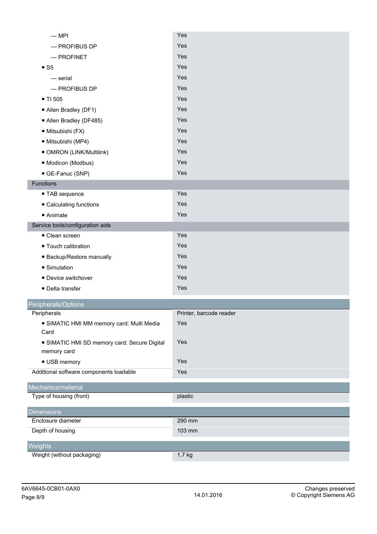| $-MPI$                                                      | Yes                     |
|-------------------------------------------------------------|-------------------------|
| - PROFIBUS DP                                               | Yes                     |
| $-$ PROFINET                                                | Yes                     |
| $\bullet$ S5                                                | Yes                     |
| — serial                                                    | Yes                     |
| - PROFIBUS DP                                               | Yes                     |
| • TI 505                                                    | Yes                     |
| • Allen Bradley (DF1)                                       | Yes                     |
| • Allen Bradley (DF485)                                     | Yes                     |
| · Mitsubishi (FX)                                           | Yes                     |
| · Mitsubishi (MP4)                                          | Yes                     |
| · OMRON (LINK/Multilink)                                    | Yes                     |
| · Modicon (Modbus)                                          | Yes                     |
| • GE-Fanuc (SNP)                                            | Yes                     |
| Functions                                                   |                         |
| • TAB sequence                                              | Yes                     |
| • Calculating functions                                     | Yes                     |
| $\bullet$ Animate                                           | Yes                     |
| Service tools/configuration aids                            |                         |
| • Clean screen                                              | Yes                     |
| • Touch calibration                                         | Yes                     |
| • Backup/Restore manually                                   | Yes                     |
| • Simulation                                                | Yes                     |
| • Device switchover                                         | Yes                     |
| • Delta transfer                                            | Yes                     |
| Peripherals/Options                                         |                         |
| Peripherals                                                 | Printer, barcode reader |
| · SIMATIC HMI MM memory card: Multi Media<br>Card           | Yes                     |
| • SIMATIC HMI SD memory card: Secure Digital<br>memory card | Yes                     |
| • USB memory                                                | Yes                     |
| Additional software components loadable                     | Yes                     |
| Mechanics/material                                          |                         |
| Type of housing (front)                                     | plastic                 |
| <b>Dimensions</b>                                           |                         |
| Enclosure diameter                                          | 290 mm                  |
| Depth of housing                                            | 103 mm                  |
| Weights                                                     |                         |
| Weight (without packaging)                                  | 1.7 kg                  |